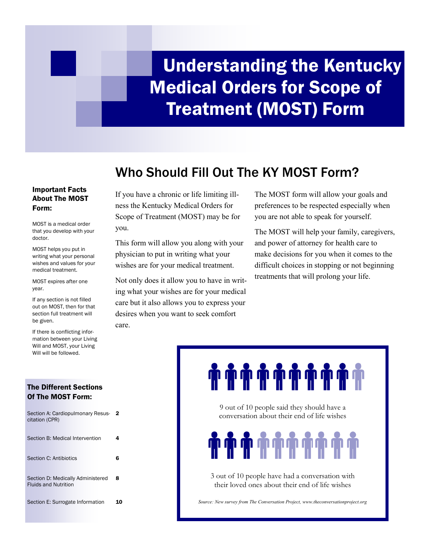# Understanding the Kentucky Medical Orders for Scope of Treatment (MOST) Form

# Who Should Fill Out The KY MOST Form?

## Important Facts About The MOST Form:

MOST is a medical order that you develop with your doctor.

MOST helps you put in writing what your personal wishes and values for your medical treatment.

MOST expires after one year.

If any section is not filled out on MOST, then for that section full treatment will be given.

If there is conflicting information between your Living Will and MOST, your Living Will will be followed.

## The Different Sections Of The MOST Form:

| Section A: Cardiopulmonary Resus-<br>citation (CPR)              | -2 |
|------------------------------------------------------------------|----|
| Section B: Medical Intervention                                  | 4  |
| Section C: Antibiotics                                           | 6  |
| Section D: Medically Administered<br><b>Fluids and Nutrition</b> | 8  |
| Section E: Surrogate Information                                 | 10 |

If you have a chronic or life limiting illness the Kentucky Medical Orders for Scope of Treatment (MOST) may be for you.

This form will allow you along with your physician to put in writing what your wishes are for your medical treatment.

Not only does it allow you to have in writing what your wishes are for your medical care but it also allows you to express your desires when you want to seek comfort care.

The MOST form will allow your goals and preferences to be respected especially when you are not able to speak for yourself.

The MOST will help your family, caregivers, and power of attorney for health care to make decisions for you when it comes to the difficult choices in stopping or not beginning treatments that will prolong your life.

# **ቝቝቝቝቝቝቑቑ**

9 out of 10 people said they should have a conversation about their end of life wishes

# **. . . . . .**

3 out of 10 people have had a conversation with their loved ones about their end of life wishes

*Source: New survey from The Conversation Project, www.theconversationproject.org*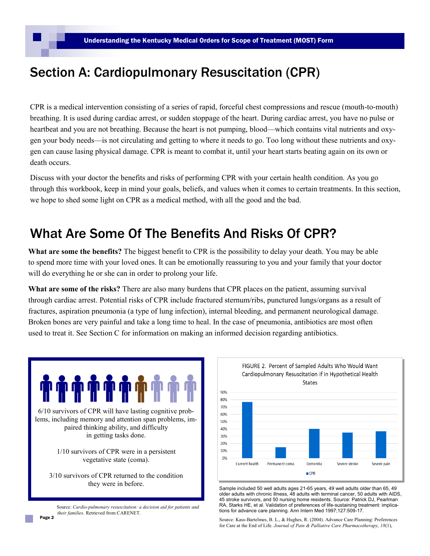## Section A: Cardiopulmonary Resuscitation (CPR)

CPR is a medical intervention consisting of a series of rapid, forceful chest compressions and rescue (mouth-to-mouth) breathing. It is used during cardiac arrest, or sudden stoppage of the heart. During cardiac arrest, you have no pulse or heartbeat and you are not breathing. Because the heart is not pumping, blood—which contains vital nutrients and oxygen your body needs—is not circulating and getting to where it needs to go. Too long without these nutrients and oxygen can cause lasing physical damage. CPR is meant to combat it, until your heart starts beating again on its own or death occurs.

Discuss with your doctor the benefits and risks of performing CPR with your certain health condition. As you go through this workbook, keep in mind your goals, beliefs, and values when it comes to certain treatments. In this section, we hope to shed some light on CPR as a medical method, with all the good and the bad.

## What Are Some Of The Benefits And Risks Of CPR?

**What are some the benefits?** The biggest benefit to CPR is the possibility to delay your death. You may be able to spend more time with your loved ones. It can be emotionally reassuring to you and your family that your doctor will do everything he or she can in order to prolong your life.

**What are some of the risks?** There are also many burdens that CPR places on the patient, assuming survival through cardiac arrest. Potential risks of CPR include fractured sternum/ribs, punctured lungs/organs as a result of fractures, aspiration pneumonia (a type of lung infection), internal bleeding, and permanent neurological damage. Broken bones are very painful and take a long time to heal. In the case of pneumonia, antibiotics are most often used to treat it. See Section C for information on making an informed decision regarding antibiotics.



Page 2 Source: *Cardio-pulmonary resuscitation: a decision aid for patients and their families.* Retrieved from CARENET.



Sample included 50 well adults ages 21-65 years, 49 well adults older than 65, 49 older adults with chronic illness, 48 adults with terminal cancer, 50 adults with AIDS, 45 stroke survivors, and 50 nursing home residents. Source: Patrick DJ, Pearlman RA, Starks HE, et al. Validation of preferences of life-sustaining treatment: implications for advance care planning. Ann Intern Med 1997;127:509-17.

Source: Kass-Bartelmes, B. L., & Hughes, R. (2004). Advance Care Planning: Preferences for Care at the End of Life. *Journal of Pain & Palliative Care Pharmacotherapy, 18*(1),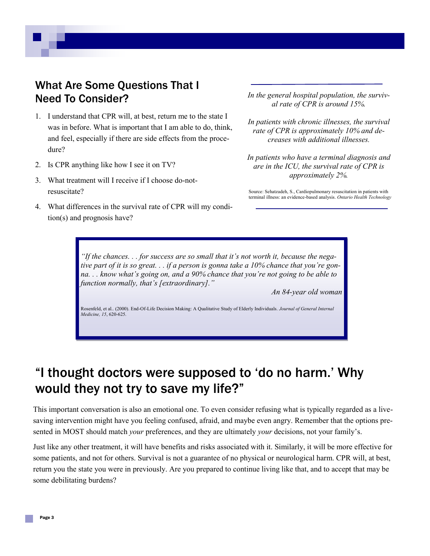## What Are Some Questions That I Need To Consider?

- 1. I understand that CPR will, at best, return me to the state I was in before. What is important that I am able to do, think, and feel, especially if there are side effects from the procedure?
- 2. Is CPR anything like how I see it on TV?
- 3. What treatment will I receive if I choose do-notresuscitate?
- 4. What differences in the survival rate of CPR will my condition(s) and prognosis have?

*In the general hospital population, the survival rate of CPR is around 15%.*

*In patients with chronic illnesses, the survival rate of CPR is approximately 10% and decreases with additional illnesses.*

*In patients who have a terminal diagnosis and are in the ICU, the survival rate of CPR is approximately 2%.*

Source: Sehatzadeh, S., Cardiopulmonary resuscitation in patients with terminal illness: an evidence-based analysis. *Ontario Health Technology* 

*"If the chances. . . for success are so small that it's not worth it, because the negative part of it is so great. . . if a person is gonna take a 10% chance that you're gonna. . . know what's going on, and a 90% chance that you're not going to be able to function normally, that's [extraordinary]."*

*An 84-year old woman*

Rosenfeld, et al.. (2000). End-Of-Life Decision Making: A Qualitative Study of Elderly Individuals. *Journal of General Internal Medicine, 15*, 620-625.

## "I thought doctors were supposed to 'do no harm.' Why would they not try to save my life?"

This important conversation is also an emotional one. To even consider refusing what is typically regarded as a livesaving intervention might have you feeling confused, afraid, and maybe even angry. Remember that the options presented in MOST should match *your* preferences, and they are ultimately *your* decisions, not your family's.

Just like any other treatment, it will have benefits and risks associated with it. Similarly, it will be more effective for some patients, and not for others. Survival is not a guarantee of no physical or neurological harm. CPR will, at best, return you the state you were in previously. Are you prepared to continue living like that, and to accept that may be some debilitating burdens?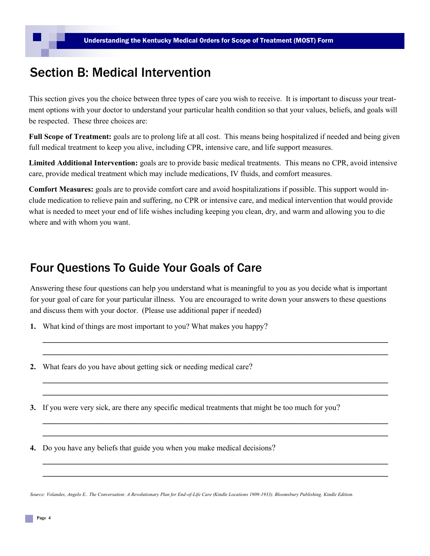## Section B: Medical Intervention

This section gives you the choice between three types of care you wish to receive. It is important to discuss your treatment options with your doctor to understand your particular health condition so that your values, beliefs, and goals will be respected. These three choices are:

**Full Scope of Treatment:** goals are to prolong life at all cost. This means being hospitalized if needed and being given full medical treatment to keep you alive, including CPR, intensive care, and life support measures.

**Limited Additional Intervention:** goals are to provide basic medical treatments. This means no CPR, avoid intensive care, provide medical treatment which may include medications, IV fluids, and comfort measures.

**Comfort Measures:** goals are to provide comfort care and avoid hospitalizations if possible. This support would include medication to relieve pain and suffering, no CPR or intensive care, and medical intervention that would provide what is needed to meet your end of life wishes including keeping you clean, dry, and warm and allowing you to die where and with whom you want.

## Four Questions To Guide Your Goals of Care

Answering these four questions can help you understand what is meaningful to you as you decide what is important for your goal of care for your particular illness. You are encouraged to write down your answers to these questions and discuss them with your doctor. (Please use additional paper if needed)

**\_\_\_\_\_\_\_\_\_\_\_\_\_\_\_\_\_\_\_\_\_\_\_\_\_\_\_\_\_\_\_\_\_\_\_\_\_\_\_\_\_\_\_\_\_\_\_\_\_\_\_\_\_\_\_\_\_\_\_\_\_\_\_\_\_\_\_\_\_\_\_\_\_\_\_\_\_\_\_\_\_\_ \_\_\_\_\_\_\_\_\_\_\_\_\_\_\_\_\_\_\_\_\_\_\_\_\_\_\_\_\_\_\_\_\_\_\_\_\_\_\_\_\_\_\_\_\_\_\_\_\_\_\_\_\_\_\_\_\_\_\_\_\_\_\_\_\_\_\_\_\_\_\_\_\_\_\_\_\_\_\_\_\_\_**

**\_\_\_\_\_\_\_\_\_\_\_\_\_\_\_\_\_\_\_\_\_\_\_\_\_\_\_\_\_\_\_\_\_\_\_\_\_\_\_\_\_\_\_\_\_\_\_\_\_\_\_\_\_\_\_\_\_\_\_\_\_\_\_\_\_\_\_\_\_\_\_\_\_\_\_\_\_\_\_\_\_\_ \_\_\_\_\_\_\_\_\_\_\_\_\_\_\_\_\_\_\_\_\_\_\_\_\_\_\_\_\_\_\_\_\_\_\_\_\_\_\_\_\_\_\_\_\_\_\_\_\_\_\_\_\_\_\_\_\_\_\_\_\_\_\_\_\_\_\_\_\_\_\_\_\_\_\_\_\_\_\_\_\_\_**

**\_\_\_\_\_\_\_\_\_\_\_\_\_\_\_\_\_\_\_\_\_\_\_\_\_\_\_\_\_\_\_\_\_\_\_\_\_\_\_\_\_\_\_\_\_\_\_\_\_\_\_\_\_\_\_\_\_\_\_\_\_\_\_\_\_\_\_\_\_\_\_\_\_\_\_\_\_\_\_\_\_\_ \_\_\_\_\_\_\_\_\_\_\_\_\_\_\_\_\_\_\_\_\_\_\_\_\_\_\_\_\_\_\_\_\_\_\_\_\_\_\_\_\_\_\_\_\_\_\_\_\_\_\_\_\_\_\_\_\_\_\_\_\_\_\_\_\_\_\_\_\_\_\_\_\_\_\_\_\_\_\_\_\_\_**

**\_\_\_\_\_\_\_\_\_\_\_\_\_\_\_\_\_\_\_\_\_\_\_\_\_\_\_\_\_\_\_\_\_\_\_\_\_\_\_\_\_\_\_\_\_\_\_\_\_\_\_\_\_\_\_\_\_\_\_\_\_\_\_\_\_\_\_\_\_\_\_\_\_\_\_\_\_\_\_\_\_\_ \_\_\_\_\_\_\_\_\_\_\_\_\_\_\_\_\_\_\_\_\_\_\_\_\_\_\_\_\_\_\_\_\_\_\_\_\_\_\_\_\_\_\_\_\_\_\_\_\_\_\_\_\_\_\_\_\_\_\_\_\_\_\_\_\_\_\_\_\_\_\_\_\_\_\_\_\_\_\_\_\_\_**

- **1.** What kind of things are most important to you? What makes you happy?
- **2.** What fears do you have about getting sick or needing medical care?
- **3.** If you were very sick, are there any specific medical treatments that might be too much for you?

**4.** Do you have any beliefs that guide you when you make medical decisions?

*Source: Volandes, Angelo E.. The Conversation: A Revolutionary Plan for End-of-Life Care (Kindle Locations 1909-1933). Bloomsbury Publishing. Kindle Edition.*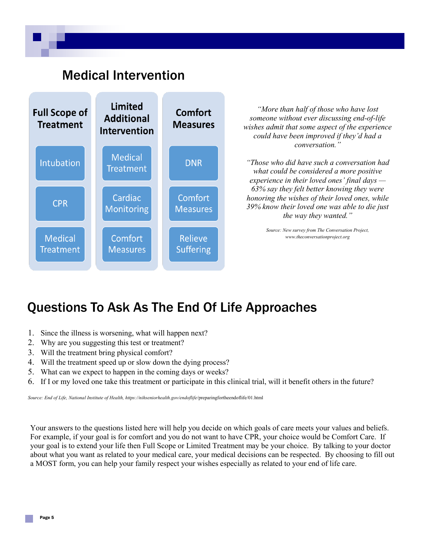## Medical Intervention



*"More than half of those who have lost someone without ever discussing end-of-life wishes admit that some aspect of the experience could have been improved if they'd had a conversation."*

*"Those who did have such a conversation had what could be considered a more positive experience in their loved ones' final days — 63% say they felt better knowing they were honoring the wishes of their loved ones, while 39% know their loved one was able to die just the way they wanted."*

> *Source: New survey from The Conversation Project, www.theconversationproject.org*

# Questions To Ask As The End Of Life Approaches

- 1. Since the illness is worsening, what will happen next?
- 2. Why are you suggesting this test or treatment?
- 3. Will the treatment bring physical comfort?
- 4. Will the treatment speed up or slow down the dying process?
- 5. What can we expect to happen in the coming days or weeks?
- 6. If I or my loved one take this treatment or participate in this clinical trial, will it benefit others in the future?

*Source: End of Life, National Institute of Health, https://nihseniorhealth.gov/endoflife/*preparingfortheendoflife/01.html

Your answers to the questions listed here will help you decide on which goals of care meets your values and beliefs. For example, if your goal is for comfort and you do not want to have CPR, your choice would be Comfort Care. If your goal is to extend your life then Full Scope or Limited Treatment may be your choice. By talking to your doctor about what you want as related to your medical care, your medical decisions can be respected. By choosing to fill out a MOST form, you can help your family respect your wishes especially as related to your end of life care.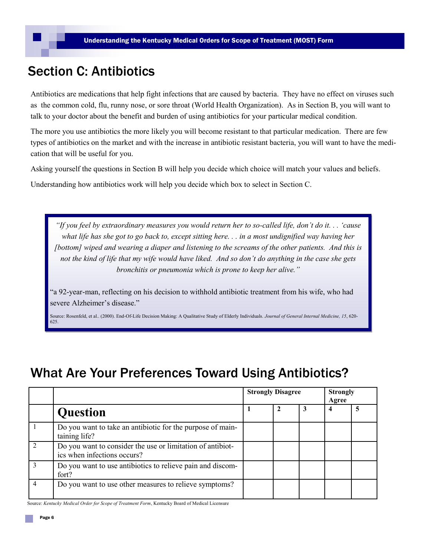# Section C: Antibiotics

Antibiotics are medications that help fight infections that are caused by bacteria. They have no effect on viruses such as the common cold, flu, runny nose, or sore throat (World Health Organization). As in Section B, you will want to talk to your doctor about the benefit and burden of using antibiotics for your particular medical condition.

The more you use antibiotics the more likely you will become resistant to that particular medication. There are few types of antibiotics on the market and with the increase in antibiotic resistant bacteria, you will want to have the medication that will be useful for you.

Asking yourself the questions in Section B will help you decide which choice will match your values and beliefs.

Understanding how antibiotics work will help you decide which box to select in Section C.

*"If you feel by extraordinary measures you would return her to so-called life, don't do it. . . 'cause what life has she got to go back to, except sitting here. . . in a most undignified way having her [bottom] wiped and wearing a diaper and listening to the screams of the other patients. And this is not the kind of life that my wife would have liked. And so don't do anything in the case she gets bronchitis or pneumonia which is prone to keep her alive."*

"a 92-year-man, reflecting on his decision to withhold antibiotic treatment from his wife, who had severe Alzheimer's disease."

Source: Rosenfeld, et al.. (2000). End-Of-Life Decision Making: A Qualitative Study of Elderly Individuals. *Journal of General Internal Medicine, 15*, 620- 625.

## What Are Your Preferences Toward Using Antibiotics?

|   |                                                                                           | <b>Strongly Disagree</b> |  |  | <b>Strongly</b><br>Agree |   |
|---|-------------------------------------------------------------------------------------------|--------------------------|--|--|--------------------------|---|
|   | <b>Question</b>                                                                           |                          |  |  | 4                        | 5 |
|   | Do you want to take an antibiotic for the purpose of main-<br>taining life?               |                          |  |  |                          |   |
|   | Do you want to consider the use or limitation of antibiot-<br>ics when infections occurs? |                          |  |  |                          |   |
|   | Do you want to use antibiotics to relieve pain and discom-<br>fort?                       |                          |  |  |                          |   |
| 4 | Do you want to use other measures to relieve symptoms?                                    |                          |  |  |                          |   |

Source: *Kentucky Medical Order for Scope of Treatment Form*, Kentucky Board of Medical Licensure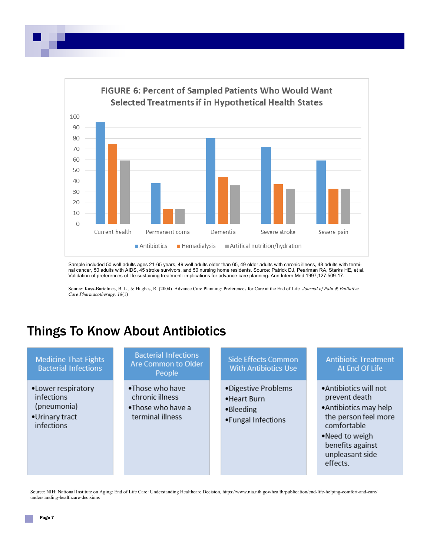

Sample included 50 well adults ages 21-65 years, 49 well adults older than 65, 49 older adults with chronic illness, 48 adults with terminal cancer, 50 adults with AIDS, 45 stroke survivors, and 50 nursing home residents. Source: Patrick DJ, Pearlman RA, Starks HE, et al. Validation of preferences of life-sustaining treatment: implications for advance care planning. Ann Intern Med 1997;127:509-17.

Source: Kass-Bartelmes, B. L., & Hughes, R. (2004). Advance Care Planning: Preferences for Care at the End of Life. *Journal of Pain & Palliative Care Pharmacotherapy, 18*(1)

## Things To Know About Antibiotics

## **Medicine That Fights Bacterial Infections**

- .Lower respiratory infections (pneumonia)
- •Urinary tract infections

### **Bacterial Infections** Are Common to Older People

- .Those who have chronic illness
- .Those who have a terminal illness

## **Side Effects Common With Antibiotics Use**

- ·Digestive Problems
- Heart Burn
- •Bleeding
- Fungal Infections

## **Antibiotic Treatment** At End Of Life

- Antibiotics will not prevent death
- Antibiotics may help the person feel more comfortable
- .Need to weigh benefits against unpleasant side effects.

Source: NIH: National Institute on Aging: End of Life Care: Understanding Healthcare Decision, https://www.nia.nih.gov/health/publication/end-life-helping-comfort-and-care/ understanding-healthcare-decisions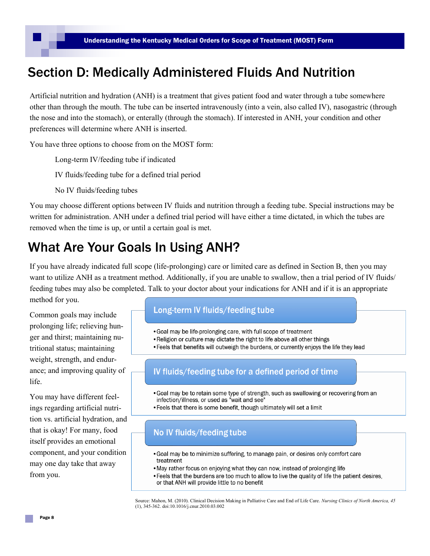## Section D: Medically Administered Fluids And Nutrition

Artificial nutrition and hydration (ANH) is a treatment that gives patient food and water through a tube somewhere other than through the mouth. The tube can be inserted intravenously (into a vein, also called IV), nasogastric (through the nose and into the stomach), or enterally (through the stomach). If interested in ANH, your condition and other preferences will determine where ANH is inserted.

You have three options to choose from on the MOST form:

Long-term IV/feeding tube if indicated

IV fluids/feeding tube for a defined trial period

No IV fluids/feeding tubes

You may choose different options between IV fluids and nutrition through a feeding tube. Special instructions may be written for administration. ANH under a defined trial period will have either a time dictated, in which the tubes are removed when the time is up, or until a certain goal is met.

# What Are Your Goals In Using ANH?

If you have already indicated full scope (life-prolonging) care or limited care as defined in Section B, then you may want to utilize ANH as a treatment method. Additionally, if you are unable to swallow, then a trial period of IV fluids/ feeding tubes may also be completed. Talk to your doctor about your indications for ANH and if it is an appropriate method for you.

Common goals may include prolonging life; relieving hunger and thirst; maintaining nutritional status; maintaining weight, strength, and endurance; and improving quality of life.

You may have different feelings regarding artificial nutrition vs. artificial hydration, and that is okay! For many, food itself provides an emotional component, and your condition may one day take that away from you.

## Long-term IV fluids/feeding tube

- . Goal may be life-prolonging care, with full scope of treatment
- . Religion or culture may dictate the right to life above all other things
- . Feels that benefits will outweigh the burdens, or currently enjoys the life they lead

## IV fluids/feeding tube for a defined period of time

- . Goal may be to retain some type of strength, such as swallowing or recovering from an infection/illness, or used as "wait and see"
- Feels that there is some benefit, though ultimately will set a limit

## No IV fluids/feeding tube

- Goal may be to minimize suffering, to manage pain, or desires only comfort care treatment
- . May rather focus on enjoying what they can now, instead of prolonging life
- Feels that the burdens are too much to allow to live the quality of life the patient desires, or that ANH will provide little to no benefit

Source: Mahon, M. (2010). Clinical Decision Making in Palliative Care and End of Life Care. *Nursing Clinics of North America, 45* (1), 345-362. doi:10.1016/j.cnur.2010.03.002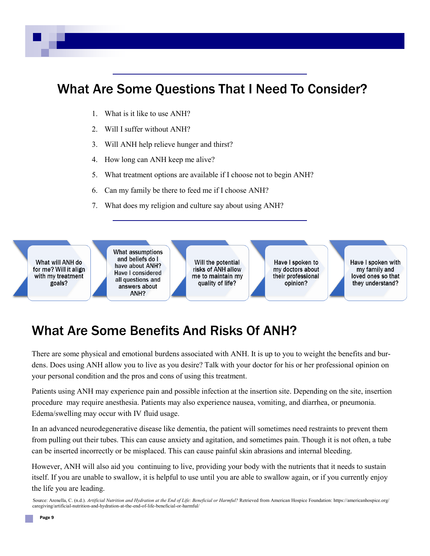# What Are Some Questions That I Need To Consider?

- 1. What is it like to use ANH?
- 2. Will I suffer without ANH?
- 3. Will ANH help relieve hunger and thirst?
- 4. How long can ANH keep me alive?
- 5. What treatment options are available if I choose not to begin ANH?
- 6. Can my family be there to feed me if I choose ANH?
- 7. What does my religion and culture say about using ANH?

What will ANH do for me? Will it align with my treatment goals?

What assumptions and beliefs do I have about ANH? **Have I considered** all questions and answers about ANH?

Will the potential risks of ANH allow me to maintain my quality of life?

Have I spoken to my doctors about their professional opinion?

Have I spoken with my family and loved ones so that they understand?

## What Are Some Benefits And Risks Of ANH?

There are some physical and emotional burdens associated with ANH. It is up to you to weight the benefits and burdens. Does using ANH allow you to live as you desire? Talk with your doctor for his or her professional opinion on your personal condition and the pros and cons of using this treatment.

Patients using ANH may experience pain and possible infection at the insertion site. Depending on the site, insertion procedure may require anesthesia. Patients may also experience nausea, vomiting, and diarrhea, or pneumonia. Edema/swelling may occur with IV fluid usage.

In an advanced neurodegenerative disease like dementia, the patient will sometimes need restraints to prevent them from pulling out their tubes. This can cause anxiety and agitation, and sometimes pain. Though it is not often, a tube can be inserted incorrectly or be misplaced. This can cause painful skin abrasions and internal bleeding.

However, ANH will also aid you continuing to live, providing your body with the nutrients that it needs to sustain itself. If you are unable to swallow, it is helpful to use until you are able to swallow again, or if you currently enjoy the life you are leading.

Source: Arenella, C. (n.d.). *Artificial Nutrition and Hydration at the End of Life: Beneficial or Harmful?* Retrieved from American Hospice Foundation: https://americanhospice.org/ caregiving/artificial-nutrition-and-hydration-at-the-end-of-life-beneficial-or-harmful/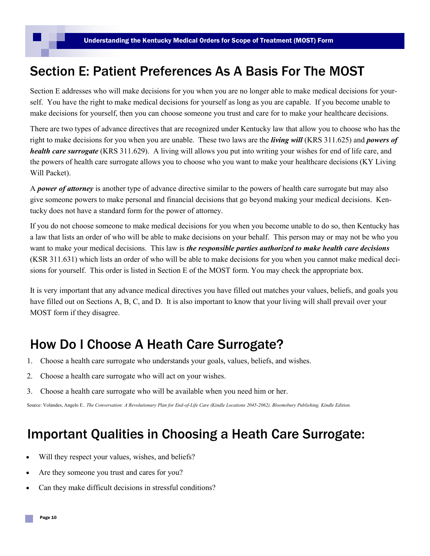## Section E: Patient Preferences As A Basis For The MOST

Section E addresses who will make decisions for you when you are no longer able to make medical decisions for yourself. You have the right to make medical decisions for yourself as long as you are capable. If you become unable to make decisions for yourself, then you can choose someone you trust and care for to make your healthcare decisions.

There are two types of advance directives that are recognized under Kentucky law that allow you to choose who has the right to make decisions for you when you are unable. These two laws are the *living will* (KRS 311.625) and *powers of health care surrogate* (KRS 311.629). A living will allows you put into writing your wishes for end of life care, and the powers of health care surrogate allows you to choose who you want to make your healthcare decisions (KY Living Will Packet).

A *power of attorney* is another type of advance directive similar to the powers of health care surrogate but may also give someone powers to make personal and financial decisions that go beyond making your medical decisions. Kentucky does not have a standard form for the power of attorney.

If you do not choose someone to make medical decisions for you when you become unable to do so, then Kentucky has a law that lists an order of who will be able to make decisions on your behalf. This person may or may not be who you want to make your medical decisions. This law is *the responsible parties authorized to make health care decisions* (KSR 311.631) which lists an order of who will be able to make decisions for you when you cannot make medical decisions for yourself. This order is listed in Section E of the MOST form. You may check the appropriate box.

It is very important that any advance medical directives you have filled out matches your values, beliefs, and goals you have filled out on Sections A, B, C, and D. It is also important to know that your living will shall prevail over your MOST form if they disagree.

## How Do I Choose A Heath Care Surrogate?

- 1. Choose a health care surrogate who understands your goals, values, beliefs, and wishes.
- 2. Choose a health care surrogate who will act on your wishes.
- 3. Choose a health care surrogate who will be available when you need him or her.

Source: Volandes, Angelo E.. *The Conversation: A Revolutionary Plan for End-of-Life Care (Kindle Locations 2045-2062). Bloomsbury Publishing. Kindle Edition.* 

## Important Qualities in Choosing a Heath Care Surrogate:

- Will they respect your values, wishes, and beliefs?
- Are they someone you trust and cares for you?
- Can they make difficult decisions in stressful conditions?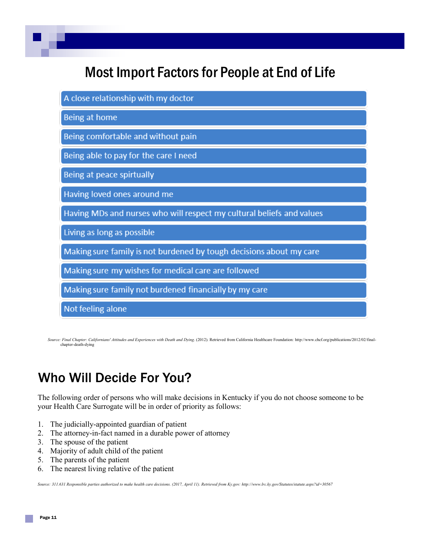# Most Import Factors for People at End of Life

| A close relationship with my doctor                                   |
|-----------------------------------------------------------------------|
| Being at home                                                         |
| Being comfortable and without pain                                    |
| Being able to pay for the care I need                                 |
| Being at peace spirtually                                             |
| Having loved ones around me                                           |
| Having MDs and nurses who will respect my cultural beliefs and values |
| Living as long as possible                                            |
| Making sure family is not burdened by tough decisions about my care   |
| Making sure my wishes for medical care are followed                   |
| Making sure family not burdened financially by my care                |
| Not feeling alone                                                     |

*Source: Final Chapter: Californians' Attitudes and Experiences with Death and Dying*. (2012). Retrieved from California Healthcare Foundation: [http://www.chcf.org/publications/2012/02/final](http://www.chcf.org/publications/2012/02/final-chapter-death-dying)[chapter](http://www.chcf.org/publications/2012/02/final-chapter-death-dying)-death-dying

# Who Will Decide For You?

The following order of persons who will make decisions in Kentucky if you do not choose someone to be your Health Care Surrogate will be in order of priority as follows:

- 1. The judicially-appointed guardian of patient
- 2. The attorney-in-fact named in a durable power of attorney
- 3. The spouse of the patient
- 4. Majority of adult child of the patient
- 5. The parents of the patient
- 6. The nearest living relative of the patient

*Source: 311.631 Responsible parties authorized to make health care decisions. (2017, April 11). Retrieved from Ky.gov: http://www.lrc.ky.gov/Statutes/statute.aspx?id=30567*